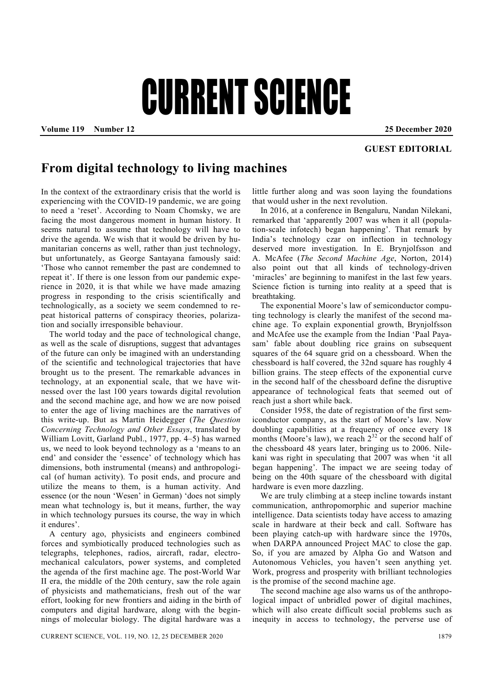## CURRENT SCIENCE

**Volume 119 Number 12 25 December 2020** 

## **GUEST EDITORIAL**

## **From digital technology to living machines**

In the context of the extraordinary crisis that the world is experiencing with the COVID-19 pandemic, we are going to need a 'reset'. According to Noam Chomsky, we are facing the most dangerous moment in human history. It seems natural to assume that technology will have to drive the agenda. We wish that it would be driven by humanitarian concerns as well, rather than just technology, but unfortunately, as George Santayana famously said: 'Those who cannot remember the past are condemned to repeat it'. If there is one lesson from our pandemic experience in 2020, it is that while we have made amazing progress in responding to the crisis scientifically and technologically, as a society we seem condemned to repeat historical patterns of conspiracy theories, polarization and socially irresponsible behaviour.

 The world today and the pace of technological change, as well as the scale of disruptions, suggest that advantages of the future can only be imagined with an understanding of the scientific and technological trajectories that have brought us to the present. The remarkable advances in technology, at an exponential scale, that we have witnessed over the last 100 years towards digital revolution and the second machine age, and how we are now poised to enter the age of living machines are the narratives of this write-up. But as Martin Heidegger (*The Question Concerning Technology and Other Essays*, translated by William Lovitt, Garland Publ., 1977, pp. 4–5) has warned us, we need to look beyond technology as a 'means to an end' and consider the 'essence' of technology which has dimensions, both instrumental (means) and anthropological (of human activity). To posit ends, and procure and utilize the means to them, is a human activity. And essence (or the noun 'Wesen' in German) 'does not simply mean what technology is, but it means, further, the way in which technology pursues its course, the way in which it endures'.

 A century ago, physicists and engineers combined forces and symbiotically produced technologies such as telegraphs, telephones, radios, aircraft, radar, electromechanical calculators, power systems, and completed the agenda of the first machine age. The post-World War II era, the middle of the 20th century, saw the role again of physicists and mathematicians, fresh out of the war effort, looking for new frontiers and aiding in the birth of computers and digital hardware, along with the beginnings of molecular biology. The digital hardware was a

little further along and was soon laying the foundations that would usher in the next revolution.

 In 2016, at a conference in Bengaluru, Nandan Nilekani, remarked that 'apparently 2007 was when it all (population-scale infotech) began happening'. That remark by India's technology czar on inflection in technology deserved more investigation. In E. Brynjolfsson and A. McAfee (*The Second Machine Age*, Norton, 2014) also point out that all kinds of technology-driven 'miracles' are beginning to manifest in the last few years. Science fiction is turning into reality at a speed that is breathtaking.

 The exponential Moore's law of semiconductor computing technology is clearly the manifest of the second machine age. To explain exponential growth, Brynjolfsson and McAfee use the example from the Indian 'Paal Payasam' fable about doubling rice grains on subsequent squares of the 64 square grid on a chessboard. When the chessboard is half covered, the 32nd square has roughly 4 billion grains. The steep effects of the exponential curve in the second half of the chessboard define the disruptive appearance of technological feats that seemed out of reach just a short while back.

 Consider 1958, the date of registration of the first semiconductor company, as the start of Moore's law. Now doubling capabilities at a frequency of once every 18 months (Moore's law), we reach  $2^{32}$  or the second half of the chessboard 48 years later, bringing us to 2006. Nilekani was right in speculating that 2007 was when 'it all began happening'. The impact we are seeing today of being on the 40th square of the chessboard with digital hardware is even more dazzling.

 We are truly climbing at a steep incline towards instant communication, anthropomorphic and superior machine intelligence. Data scientists today have access to amazing scale in hardware at their beck and call. Software has been playing catch-up with hardware since the 1970s, when DARPA announced Project MAC to close the gap. So, if you are amazed by Alpha Go and Watson and Autonomous Vehicles, you haven't seen anything yet. Work, progress and prosperity with brilliant technologies is the promise of the second machine age.

 The second machine age also warns us of the anthropological impact of unbridled power of digital machines, which will also create difficult social problems such as inequity in access to technology, the perverse use of